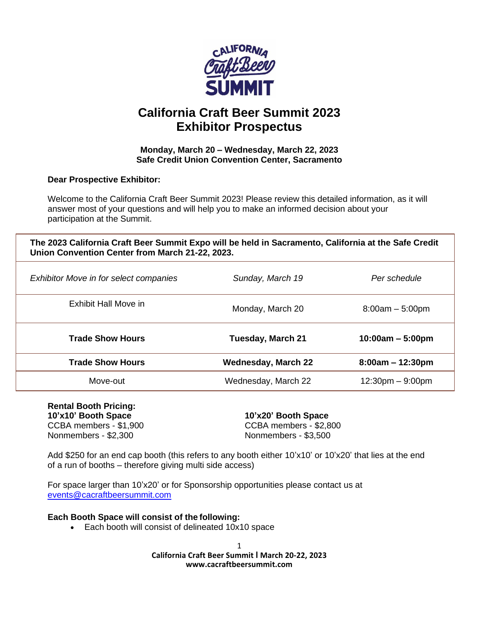

# **California Craft Beer Summit 2023 Exhibitor Prospectus**

#### **Monday, March 20 – Wednesday, March 22, 2023 Safe Credit Union Convention Center, Sacramento**

**Dear Prospective Exhibitor:**

Welcome to the California Craft Beer Summit 2023! Please review this detailed information, as it will answer most of your questions and will help you to make an informed decision about your participation at the Summit.

**The 2023 California Craft Beer Summit Expo will be held in Sacramento, California at the Safe Credit Union Convention Center from March 21-22, 2023.** 

| <b>Exhibitor Move in for select companies</b> | Sunday, March 19           | Per schedule                       |
|-----------------------------------------------|----------------------------|------------------------------------|
| Exhibit Hall Move in                          | Monday, March 20           | $8:00am - 5:00pm$                  |
| <b>Trade Show Hours</b>                       | Tuesday, March 21          | $10:00am - 5:00pm$                 |
| <b>Trade Show Hours</b>                       | <b>Wednesday, March 22</b> | $8:00am - 12:30pm$                 |
| Move-out                                      | Wednesday, March 22        | $12:30 \text{pm} - 9:00 \text{pm}$ |

**Rental Booth Pricing: 10'x10' Booth Space 10'x20' Booth Space** Nonmembers - \$2,300 Nonmembers - \$3,500

CCBA members - \$1,900 CCBA members - \$2,800

Add \$250 for an end cap booth (this refers to any booth either 10'x10' or 10'x20' that lies at the end of a run of booths – therefore giving multi side access)

For space larger than 10'x20' or for Sponsorship opportunities please contact us at [events@cacraftbeersummit.com](mailto:events@cacraftbeersummit.com)

# **Each Booth Space will consist of the following:**

• Each booth will consist of delineated 10x10 space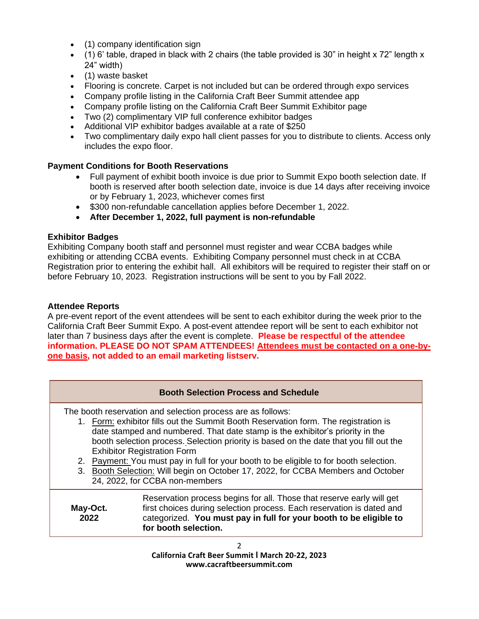- (1) company identification sign
- $\bullet$  (1) 6' table, draped in black with 2 chairs (the table provided is 30" in height x 72" length x 24" width)
- (1) waste basket
- Flooring is concrete. Carpet is not included but can be ordered through expo services
- Company profile listing in the California Craft Beer Summit attendee app
- Company profile listing on the California Craft Beer Summit Exhibitor page
- Two (2) complimentary VIP full conference exhibitor badges
- Additional VIP exhibitor badges available at a rate of \$250
- Two complimentary daily expo hall client passes for you to distribute to clients. Access only includes the expo floor.

# **Payment Conditions for Booth Reservations**

- Full payment of exhibit booth invoice is due prior to Summit Expo booth selection date. If booth is reserved after booth selection date, invoice is due 14 days after receiving invoice or by February 1, 2023, whichever comes first
- \$300 non-refundable cancellation applies before December 1, 2022.
- **After December 1, 2022, full payment is non-refundable**

# **Exhibitor Badges**

Exhibiting Company booth staff and personnel must register and wear CCBA badges while exhibiting or attending CCBA events. Exhibiting Company personnel must check in at CCBA Registration prior to entering the exhibit hall. All exhibitors will be required to register their staff on or before February 10, 2023. Registration instructions will be sent to you by Fall 2022.

# **Attendee Reports**

A pre-event report of the event attendees will be sent to each exhibitor during the week prior to the California Craft Beer Summit Expo. A post-event attendee report will be sent to each exhibitor not later than 7 business days after the event is complete. **Please be respectful of the attendee information. PLEASE DO NOT SPAM ATTENDEES! Attendees must be contacted on a one-byone basis, not added to an email marketing listserv.**

# **Booth Selection Process and Schedule**

The booth reservation and selection process are as follows:

- 1. Form: exhibitor fills out the Summit Booth Reservation form. The registration is date stamped and numbered. That date stamp is the exhibitor's priority in the booth selection process. Selection priority is based on the date that you fill out the Exhibitor Registration Form
- 2. Payment: You must pay in full for your booth to be eligible to for booth selection.
- 3. Booth Selection: Will begin on October 17, 2022, for CCBA Members and October 24, 2022, for CCBA non-members

**May-Oct. 2022** Reservation process begins for all. Those that reserve early will get first choices during selection process. Each reservation is dated and categorized. **You must pay in full for your booth to be eligible to for booth selection.**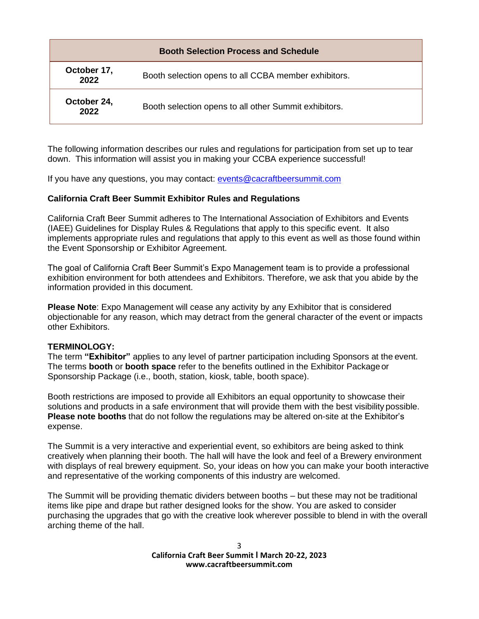| <b>Booth Selection Process and Schedule</b> |                                                       |
|---------------------------------------------|-------------------------------------------------------|
| October 17,<br>2022                         | Booth selection opens to all CCBA member exhibitors.  |
| October 24,<br>2022                         | Booth selection opens to all other Summit exhibitors. |

The following information describes our rules and regulations for participation from set up to tear down. This information will assist you in making your CCBA experience successful!

If you have any questions, you may contact: [events@cacraftbeersummit.com](mailto:events@cacraftbeersummit.com)

#### **California Craft Beer Summit Exhibitor Rules and Regulations**

California Craft Beer Summit adheres to The International Association of Exhibitors and Events (IAEE) Guidelines for Display Rules & Regulations that apply to this specific event. It also implements appropriate rules and regulations that apply to this event as well as those found within the Event Sponsorship or Exhibitor Agreement.

The goal of California Craft Beer Summit's Expo Management team is to provide a professional exhibition environment for both attendees and Exhibitors. Therefore, we ask that you abide by the information provided in this document.

**Please Note**: Expo Management will cease any activity by any Exhibitor that is considered objectionable for any reason, which may detract from the general character of the event or impacts other Exhibitors.

#### **TERMINOLOGY:**

The term **"Exhibitor"** applies to any level of partner participation including Sponsors at the event. The terms **booth** or **booth space** refer to the benefits outlined in the Exhibitor Package or Sponsorship Package (i.e., booth, station, kiosk, table, booth space).

Booth restrictions are imposed to provide all Exhibitors an equal opportunity to showcase their solutions and products in a safe environment that will provide them with the best visibility possible. **Please note booths** that do not follow the regulations may be altered on-site at the Exhibitor's expense.

The Summit is a very interactive and experiential event, so exhibitors are being asked to think creatively when planning their booth. The hall will have the look and feel of a Brewery environment with displays of real brewery equipment. So, your ideas on how you can make your booth interactive and representative of the working components of this industry are welcomed.

The Summit will be providing thematic dividers between booths – but these may not be traditional items like pipe and drape but rather designed looks for the show. You are asked to consider purchasing the upgrades that go with the creative look wherever possible to blend in with the overall arching theme of the hall.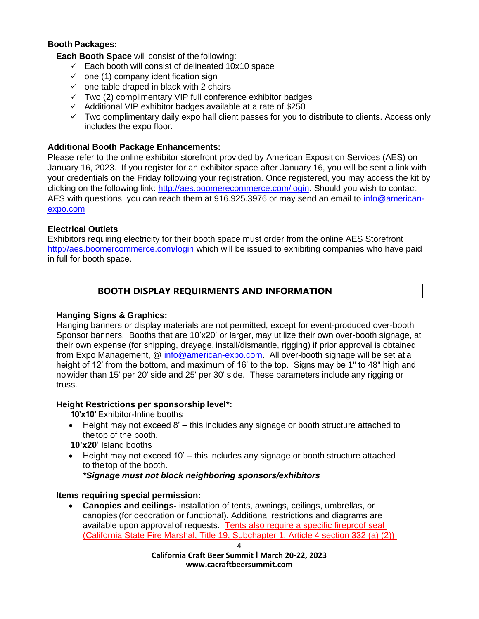# **Booth Packages:**

**Each Booth Space** will consist of the following:

- $\checkmark$  Each booth will consist of delineated 10x10 space
- $\checkmark$  one (1) company identification sign
- $\checkmark$  one table draped in black with 2 chairs
- ✓ Two (2) complimentary VIP full conference exhibitor badges
- $\checkmark$  Additional VIP exhibitor badges available at a rate of \$250
- $\checkmark$  Two complimentary daily expo hall client passes for you to distribute to clients. Access only includes the expo floor.

# **Additional Booth Package Enhancements:**

Please refer to the online exhibitor storefront provided by American Exposition Services (AES) on January 16, 2023. If you register for an exhibitor space after January 16, you will be sent a link with your credentials on the Friday following your registration. Once registered, you may access the kit by clicking on the following link: [http://aes.boomerecommerce.com/login.](http://aes.boomerecommerce.com/login) Should you wish to contact AES with questions, you can reach them at 916.925.3976 or may send an email to [info@american](mailto:info@american-expo.com)[expo.com](mailto:info@american-expo.com)

# **Electrical Outlets**

Exhibitors requiring electricity for their booth space must order from the online AES Storefront <http://aes.boomercommerce.com/login> which will be issued to exhibiting companies who have paid in full for booth space.

# **BOOTH DISPLAY REQUIRMENTS AND INFORMATION**

# **Hanging Signs & Graphics:**

Hanging banners or display materials are not permitted, except for event-produced over-booth Sponsor banners. Booths that are 10'x20' or larger, may utilize their own over-booth signage, at their own expense (for shipping, drayage, install/dismantle, rigging) if prior approval is obtained from Expo Management, @ [info@american-expo.com.](mailto:info@american-expo.com) All over-booth signage will be set at a height of 12' from the bottom, and maximum of 16' to the top. Signs may be 1" to 48" high and nowider than 15' per 20' side and 25' per 30' side. These parameters include any rigging or truss.

# **Height Restrictions per sponsorship level\*:**

**10'x10'** Exhibitor-Inline booths

- Height may not exceed 8' this includes any signage or booth structure attached to thetop of the booth.
- **10'x20**' Island booths
- Height may not exceed 10' this includes any signage or booth structure attached to thetop of the booth.

*\*Signage must not block neighboring sponsors/exhibitors*

# **Items requiring special permission:**

• **Canopies and ceilings-** installation of tents, awnings, ceilings, umbrellas, or canopies (for decoration or functional). Additional restrictions and diagrams are available upon approval of requests. Tents also require a specific fireproof seal (California State Fire Marshal, Title 19, Subchapter 1, Article 4 section 332 (a) (2))

4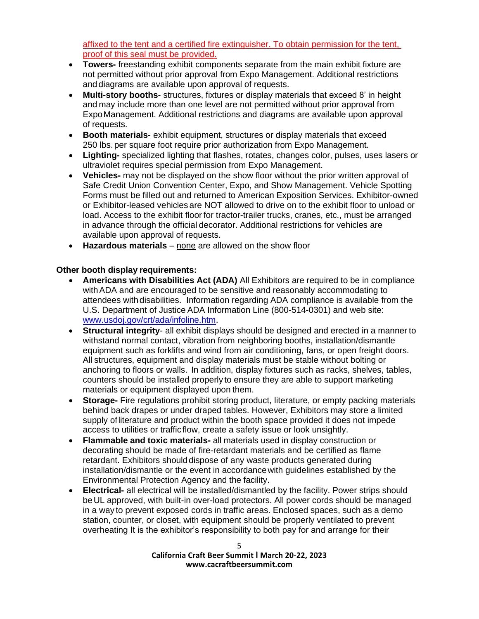affixed to the tent and a certified fire extinguisher. To obtain permission for the tent, proof of this seal must be provided.

- **Towers-** freestanding exhibit components separate from the main exhibit fixture are not permitted without prior approval from Expo Management. Additional restrictions and diagrams are available upon approval of requests.
- **Multi-story booths** structures, fixtures or display materials that exceed 8' in height and may include more than one level are not permitted without prior approval from ExpoManagement. Additional restrictions and diagrams are available upon approval of requests.
- **Booth materials-** exhibit equipment, structures or display materials that exceed 250 lbs. per square foot require prior authorization from Expo Management.
- **Lighting-** specialized lighting that flashes, rotates, changes color, pulses, uses lasers or ultraviolet requires special permission from Expo Management.
- **Vehicles-** may not be displayed on the show floor without the prior written approval of Safe Credit Union Convention Center, Expo, and Show Management. Vehicle Spotting Forms must be filled out and returned to American Exposition Services. Exhibitor-owned or Exhibitor-leased vehicles are NOT allowed to drive on to the exhibit floor to unload or load. Access to the exhibit floor for tractor-trailer trucks, cranes, etc., must be arranged in advance through the official decorator. Additional restrictions for vehicles are available upon approval of requests.
- **Hazardous materials** none are allowed on the show floor

# **Other booth display requirements:**

- **Americans with Disabilities Act (ADA)** All Exhibitors are required to be in compliance withADA and are encouraged to be sensitive and reasonably accommodating to attendees withdisabilities. Information regarding ADA compliance is available from the U.S. Department of Justice ADA Information Line (800-514-0301) and web site: [www.usdoj.gov/crt/ada/infoline.htm.](http://www.usdoj.gov/crt/ada/infoline.htm)
- **Structural integrity** all exhibit displays should be designed and erected in a manner to withstand normal contact, vibration from neighboring booths, installation/dismantle equipment such as forklifts and wind from air conditioning, fans, or open freight doors. All structures, equipment and display materials must be stable without bolting or anchoring to floors or walls. In addition, display fixtures such as racks, shelves, tables, counters should be installed properly to ensure they are able to support marketing materials or equipment displayed upon them.
- **Storage-** Fire regulations prohibit storing product, literature, or empty packing materials behind back drapes or under draped tables. However, Exhibitors may store a limited supply ofliterature and product within the booth space provided it does not impede access to utilities or traffic flow, create a safety issue or look unsightly.
- **Flammable and toxic materials-** all materials used in display construction or decorating should be made of fire-retardant materials and be certified as flame retardant. Exhibitors shoulddispose of any waste products generated during installation/dismantle or the event in accordancewith guidelines established by the Environmental Protection Agency and the facility.
- **Electrical-** all electrical will be installed/dismantled by the facility. Power strips should beUL approved, with built-in over-load protectors. All power cords should be managed in a way to prevent exposed cords in traffic areas. Enclosed spaces, such as a demo station, counter, or closet, with equipment should be properly ventilated to prevent overheating It is the exhibitor's responsibility to both pay for and arrange for their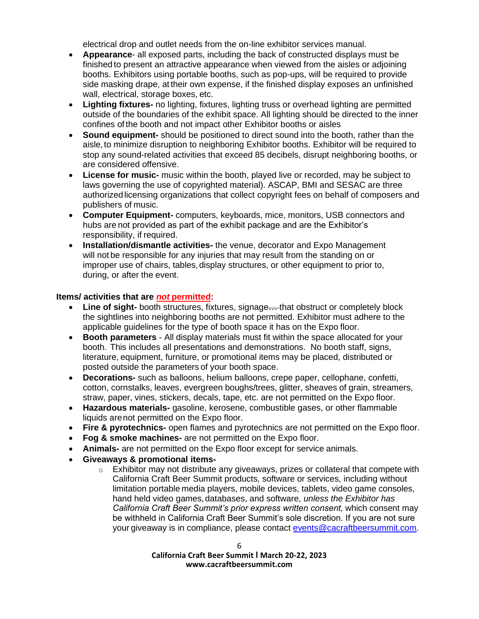electrical drop and outlet needs from the on-line exhibitor services manual.

- **Appearance** all exposed parts, including the back of constructed displays must be finished to present an attractive appearance when viewed from the aisles or adjoining booths. Exhibitors using portable booths, such as pop-ups, will be required to provide side masking drape, at their own expense, if the finished display exposes an unfinished wall, electrical, storage boxes, etc.
- **Lighting fixtures-** no lighting, fixtures, lighting truss or overhead lighting are permitted outside of the boundaries of the exhibit space. All lighting should be directed to the inner confines ofthe booth and not impact other Exhibitor booths or aisles
- **Sound equipment-** should be positioned to direct sound into the booth, rather than the aisle,to minimize disruption to neighboring Exhibitor booths. Exhibitor will be required to stop any sound-related activities that exceed 85 decibels, disrupt neighboring booths, or are considered offensive.
- **License for music-** music within the booth, played live or recorded, may be subject to laws governing the use of copyrighted material). ASCAP, BMI and SESAC are three authorized licensing organizations that collect copyright fees on behalf of composers and publishers of music.
- **Computer Equipment-** computers, keyboards, mice, monitors, USB connectors and hubs are not provided as part of the exhibit package and are the Exhibitor's responsibility, if required.
- **Installation/dismantle activities-** the venue, decorator and Expo Management will not be responsible for any injuries that may result from the standing on or improper use of chairs, tables,display structures, or other equipment to prior to, during, or after the event.

#### **Items/ activities that are** *not* **permitted:**

- **Line of sight-** booth structures, fixtures, signage... that obstruct or completely block the sightlines into neighboring booths are not permitted. Exhibitor must adhere to the applicable guidelines for the type of booth space it has on the Expo floor.
- **Booth parameters**  All display materials must fit within the space allocated for your booth. This includes all presentations and demonstrations. No booth staff, signs, literature, equipment, furniture, or promotional items may be placed, distributed or posted outside the parameters of your booth space.
- **Decorations-** such as balloons, helium balloons, crepe paper, cellophane, confetti, cotton, cornstalks, leaves, evergreen boughs/trees, glitter, sheaves of grain, streamers, straw, paper, vines, stickers, decals, tape, etc. are not permitted on the Expo floor.
- **Hazardous materials-** gasoline, kerosene, combustible gases, or other flammable liquids arenot permitted on the Expo floor.
- **Fire & pyrotechnics-** open flames and pyrotechnics are not permitted on the Expo floor.
- **Fog & smoke machines-** are not permitted on the Expo floor.
- **Animals-** are not permitted on the Expo floor except for service animals.
- **Giveaways & promotional items-**
	- $\circ$  Exhibitor may not distribute any giveaways, prizes or collateral that compete with California Craft Beer Summit products, software or services, including without limitation portable media players, mobile devices, tablets, video game consoles, hand held video games, databases, and software, *unless the Exhibitor has California Craft Beer Summit's prior express written consent,* which consent may be withheld in California Craft Beer Summit's sole discretion. If you are not sure your giveaway is in compliance, please contact [events@cacraftbeersummit.com.](mailto:events@cacraftbeersummit.com)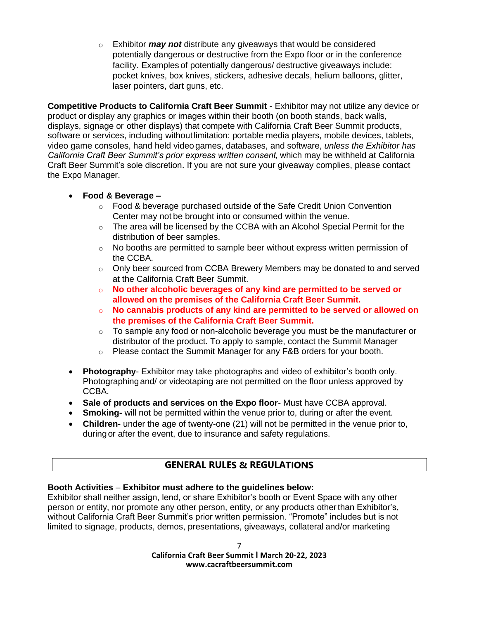o Exhibitor *may not* distribute any giveaways that would be considered potentially dangerous or destructive from the Expo floor or in the conference facility. Examples of potentially dangerous/ destructive giveaways include: pocket knives, box knives, stickers, adhesive decals, helium balloons, glitter, laser pointers, dart guns, etc.

**Competitive Products to California Craft Beer Summit -** Exhibitor may not utilize any device or product or display any graphics or images within their booth (on booth stands, back walls, displays, signage or other displays) that compete with California Craft Beer Summit products, software or services, including without limitation: portable media players, mobile devices, tablets, video game consoles, hand held video games, databases, and software, *unless the Exhibitor has California Craft Beer Summit's prior express written consent,* which may be withheld at California Craft Beer Summit's sole discretion. If you are not sure your giveaway complies, please contact the Expo Manager.

# • **Food & Beverage –**

- $\circ$  Food & beverage purchased outside of the Safe Credit Union Convention Center may not be brought into or consumed within the venue.
- $\circ$  The area will be licensed by the CCBA with an Alcohol Special Permit for the distribution of beer samples.
- $\circ$  No booths are permitted to sample beer without express written permission of the CCBA.
- $\circ$  Only beer sourced from CCBA Brewery Members may be donated to and served at the California Craft Beer Summit.
- o **No other alcoholic beverages of any kind are permitted to be served or allowed on the premises of the California Craft Beer Summit.**
- o **No cannabis products of any kind are permitted to be served or allowed on the premises of the California Craft Beer Summit.**
- $\circ$  To sample any food or non-alcoholic beverage you must be the manufacturer or distributor of the product. To apply to sample, contact the Summit Manager
- o Please contact the Summit Manager for any F&B orders for your booth.
- **Photography** Exhibitor may take photographs and video of exhibitor's booth only. Photographingand/ or videotaping are not permitted on the floor unless approved by CCBA.
- **Sale of products and services on the Expo floor** Must have CCBA approval.
- **Smoking-** will not be permitted within the venue prior to, during or after the event.
- **Children-** under the age of twenty-one (21) will not be permitted in the venue prior to, during or after the event, due to insurance and safety regulations.

# **GENERAL RULES & REGULATIONS**

# **Booth Activities** – **Exhibitor must adhere to the guidelines below:**

Exhibitor shall neither assign, lend, or share Exhibitor's booth or Event Space with any other person or entity, nor promote any other person, entity, or any products otherthan Exhibitor's, without California Craft Beer Summit's prior written permission. "Promote" includes but is not limited to signage, products, demos, presentations, giveaways, collateral and/or marketing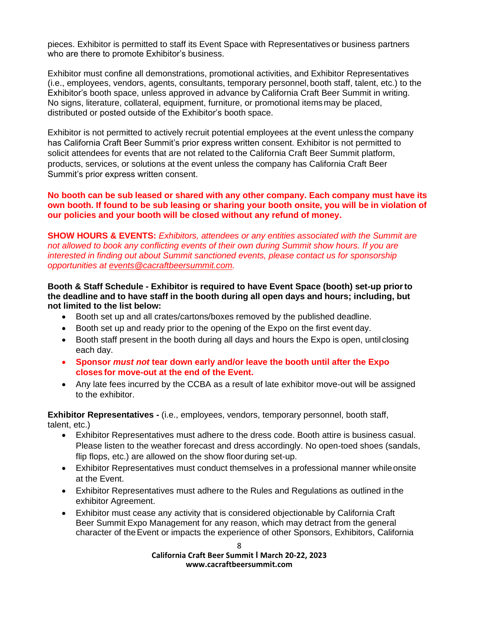pieces. Exhibitor is permitted to staff its Event Space with Representatives or business partners who are there to promote Exhibitor's business.

Exhibitor must confine all demonstrations, promotional activities, and Exhibitor Representatives (i.e., employees, vendors, agents, consultants, temporary personnel, booth staff, talent, etc.) to the Exhibitor's booth space, unless approved in advance by California Craft Beer Summit in writing. No signs, literature, collateral, equipment, furniture, or promotional items may be placed, distributed or posted outside of the Exhibitor's booth space.

Exhibitor is not permitted to actively recruit potential employees at the event unless the company has California Craft Beer Summit's prior express written consent. Exhibitor is not permitted to solicit attendees for events that are not related to the California Craft Beer Summit platform, products, services, or solutions at the event unless the company has California Craft Beer Summit's prior express written consent.

#### **No booth can be sub leased or shared with any other company. Each company must have its own booth. If found to be sub leasing or sharing your booth onsite, you will be in violation of our policies and your booth will be closed without any refund of money.**

**SHOW HOURS & EVENTS:** *Exhibitors, attendees or any entities associated with the Summit are not allowed to book any conflicting events of their own during Summit show hours. If you are interested in finding out about Summit sanctioned events, please contact us for sponsorship opportunities at [events@cacraftbeersummit.com.](mailto:events@cacraftbeersummit.com)*

#### **Booth & Staff Schedule - Exhibitor is required to have Event Space (booth) set-up priorto the deadline and to have staff in the booth during all open days and hours; including, but not limited to the list below:**

- Booth set up and all crates/cartons/boxes removed by the published deadline.
- Booth set up and ready prior to the opening of the Expo on the first event day.
- Booth staff present in the booth during all days and hours the Expo is open, until closing each day.
- **Sponsor** *must not* **tear down early and/or leave the booth until after the Expo closes for move-out at the end of the Event.**
- Any late fees incurred by the CCBA as a result of late exhibitor move-out will be assigned to the exhibitor.

**Exhibitor Representatives -** (i.e., employees, vendors, temporary personnel, booth staff, talent, etc.)

- Exhibitor Representatives must adhere to the dress code. Booth attire is business casual. Please listen to the weather forecast and dress accordingly. No open-toed shoes (sandals, flip flops, etc.) are allowed on the show floor during set-up.
- Exhibitor Representatives must conduct themselves in a professional manner while onsite at the Event.
- Exhibitor Representatives must adhere to the Rules and Regulations as outlined in the exhibitor Agreement.
- Exhibitor must cease any activity that is considered objectionable by California Craft Beer Summit Expo Management for any reason, which may detract from the general character of theEvent or impacts the experience of other Sponsors, Exhibitors, California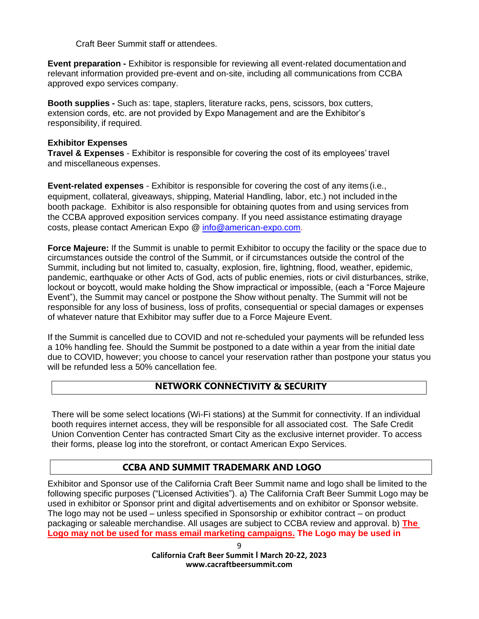Craft Beer Summit staff or attendees.

**Event preparation -** Exhibitor is responsible for reviewing all event-related documentationand relevant information provided pre-event and on-site, including all communications from CCBA approved expo services company.

**Booth supplies -** Such as: tape, staplers, literature racks, pens, scissors, box cutters, extension cords, etc. are not provided by Expo Management and are the Exhibitor's responsibility, if required.

#### **Exhibitor Expenses**

**Travel & Expenses** - Exhibitor is responsible for covering the cost of its employees' travel and miscellaneous expenses.

**Event-related expenses** - Exhibitor is responsible for covering the cost of any items (i.e., equipment, collateral, giveaways, shipping, Material Handling, labor, etc.) not included in the booth package. Exhibitor is also responsible for obtaining quotes from and using services from the CCBA approved exposition services company. If you need assistance estimating drayage costs, please contact American Expo @ [info@american-expo.com.](mailto:info@american-expo.com)

**Force Majeure:** If the Summit is unable to permit Exhibitor to occupy the facility or the space due to circumstances outside the control of the Summit, or if circumstances outside the control of the Summit, including but not limited to, casualty, explosion, fire, lightning, flood, weather, epidemic, pandemic, earthquake or other Acts of God, acts of public enemies, riots or civil disturbances, strike, lockout or boycott, would make holding the Show impractical or impossible, (each a "Force Majeure Event"), the Summit may cancel or postpone the Show without penalty. The Summit will not be responsible for any loss of business, loss of profits, consequential or special damages or expenses of whatever nature that Exhibitor may suffer due to a Force Majeure Event.

If the Summit is cancelled due to COVID and not re-scheduled your payments will be refunded less a 10% handling fee. Should the Summit be postponed to a date within a year from the initial date due to COVID, however; you choose to cancel your reservation rather than postpone your status you will be refunded less a 50% cancellation fee.

# **NETWORK CONNECTIVITY & SECURITY**

There will be some select locations (Wi-Fi stations) at the Summit for connectivity. If an individual booth requires internet access, they will be responsible for all associated cost. The Safe Credit Union Convention Center has contracted Smart City as the exclusive internet provider. To access their forms, please log into the storefront, or contact American Expo Services.

# **CCBA AND SUMMIT TRADEMARK AND LOGO**

Exhibitor and Sponsor use of the California Craft Beer Summit name and logo shall be limited to the following specific purposes ("Licensed Activities"). a) The California Craft Beer Summit Logo may be used in exhibitor or Sponsor print and digital advertisements and on exhibitor or Sponsor website. The logo may not be used – unless specified in Sponsorship or exhibitor contract – on product packaging or saleable merchandise. All usages are subject to CCBA review and approval. b) **The Logo may not be used for mass email marketing campaigns. The Logo may be used in**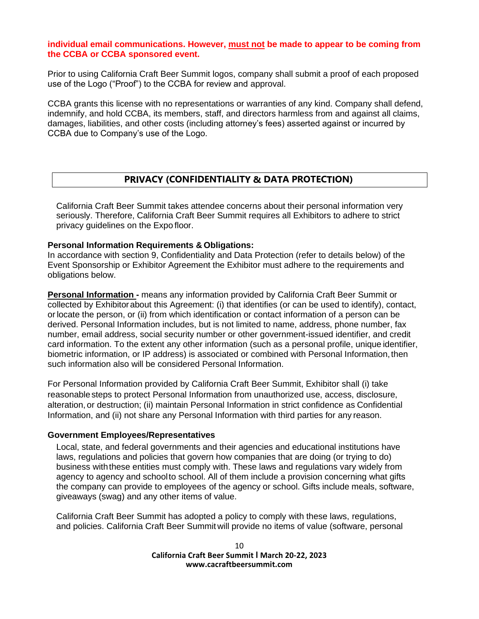#### **individual email communications. However, must not be made to appear to be coming from the CCBA or CCBA sponsored event.**

Prior to using California Craft Beer Summit logos, company shall submit a proof of each proposed use of the Logo ("Proof") to the CCBA for review and approval.

CCBA grants this license with no representations or warranties of any kind. Company shall defend, indemnify, and hold CCBA, its members, staff, and directors harmless from and against all claims, damages, liabilities, and other costs (including attorney's fees) asserted against or incurred by CCBA due to Company's use of the Logo.

# **PRIVACY (CONFIDENTIALITY & DATA PROTECTION)**

California Craft Beer Summit takes attendee concerns about their personal information very seriously. Therefore, California Craft Beer Summit requires all Exhibitors to adhere to strict privacy guidelines on the Expo floor.

#### **Personal Information Requirements & Obligations:**

In accordance with section 9, Confidentiality and Data Protection (refer to details below) of the Event Sponsorship or Exhibitor Agreement the Exhibitor must adhere to the requirements and obligations below.

**Personal Information -** means any information provided by California Craft Beer Summit or collected by Exhibitorabout this Agreement: (i) that identifies (or can be used to identify), contact, or locate the person, or (ii) from which identification or contact information of a person can be derived. Personal Information includes, but is not limited to name, address, phone number, fax number, email address, social security number or other government-issued identifier, and credit card information. To the extent any other information (such as a personal profile, unique identifier, biometric information, or IP address) is associated or combined with Personal Information,then such information also will be considered Personal Information.

For Personal Information provided by California Craft Beer Summit, Exhibitor shall (i) take reasonable steps to protect Personal Information from unauthorized use, access, disclosure, alteration, or destruction; (ii) maintain Personal Information in strict confidence as Confidential Information, and (ii) not share any Personal Information with third parties for any reason.

#### **Government Employees/Representatives**

Local, state, and federal governments and their agencies and educational institutions have laws, regulations and policies that govern how companies that are doing (or trying to do) business withthese entities must comply with. These laws and regulations vary widely from agency to agency and schoolto school. All of them include a provision concerning what gifts the company can provide to employees of the agency or school. Gifts include meals, software, giveaways (swag) and any other items of value.

California Craft Beer Summit has adopted a policy to comply with these laws, regulations, and policies. California Craft Beer Summit will provide no items of value (software, personal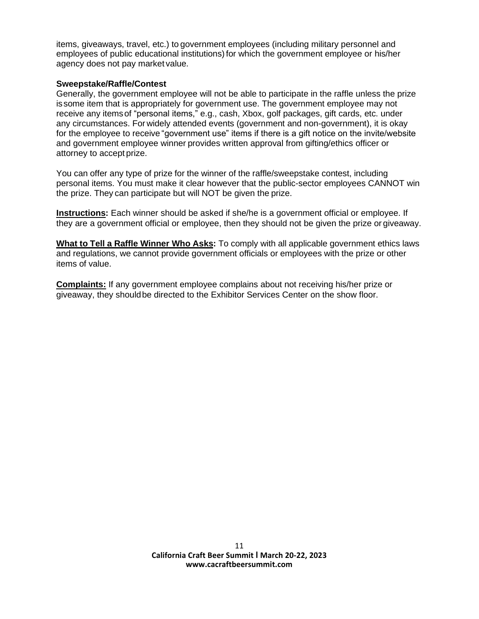items, giveaways, travel, etc.) to government employees (including military personnel and employees of public educational institutions) for which the government employee or his/her agency does not pay market value.

#### **Sweepstake/Raffle/Contest**

Generally, the government employee will not be able to participate in the raffle unless the prize issome item that is appropriately for government use. The government employee may not receive any itemsof "personal items," e.g., cash, Xbox, golf packages, gift cards, etc. under any circumstances. For widely attended events (government and non-government), it is okay for the employee to receive "government use" items if there is a gift notice on the invite/website and government employee winner provides written approval from gifting/ethics officer or attorney to accept prize.

You can offer any type of prize for the winner of the raffle/sweepstake contest, including personal items. You must make it clear however that the public-sector employees CANNOT win the prize. They can participate but will NOT be given the prize.

**Instructions:** Each winner should be asked if she/he is a government official or employee. If they are a government official or employee, then they should not be given the prize or giveaway.

**What to Tell a Raffle Winner Who Asks:** To comply with all applicable government ethics laws and regulations, we cannot provide government officials or employees with the prize or other items of value.

**Complaints:** If any government employee complains about not receiving his/her prize or giveaway, they shouldbe directed to the Exhibitor Services Center on the show floor.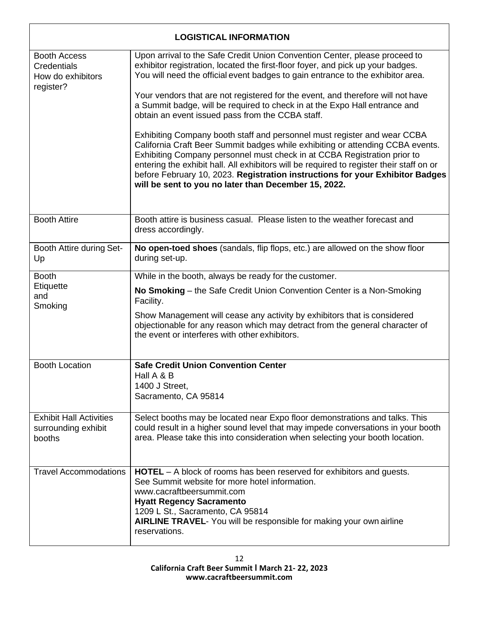| <b>LOGISTICAL INFORMATION</b>                                        |                                                                                                                                                                                                                                                                                                                                                                                                                                                                             |  |
|----------------------------------------------------------------------|-----------------------------------------------------------------------------------------------------------------------------------------------------------------------------------------------------------------------------------------------------------------------------------------------------------------------------------------------------------------------------------------------------------------------------------------------------------------------------|--|
| <b>Booth Access</b><br>Credentials<br>How do exhibitors<br>register? | Upon arrival to the Safe Credit Union Convention Center, please proceed to<br>exhibitor registration, located the first-floor foyer, and pick up your badges.<br>You will need the official event badges to gain entrance to the exhibitor area.                                                                                                                                                                                                                            |  |
|                                                                      | Your vendors that are not registered for the event, and therefore will not have<br>a Summit badge, will be required to check in at the Expo Hall entrance and<br>obtain an event issued pass from the CCBA staff.                                                                                                                                                                                                                                                           |  |
|                                                                      | Exhibiting Company booth staff and personnel must register and wear CCBA<br>California Craft Beer Summit badges while exhibiting or attending CCBA events.<br>Exhibiting Company personnel must check in at CCBA Registration prior to<br>entering the exhibit hall. All exhibitors will be required to register their staff on or<br>before February 10, 2023. Registration instructions for your Exhibitor Badges<br>will be sent to you no later than December 15, 2022. |  |
| <b>Booth Attire</b>                                                  | Booth attire is business casual. Please listen to the weather forecast and<br>dress accordingly.                                                                                                                                                                                                                                                                                                                                                                            |  |
| Booth Attire during Set-<br>Up                                       | No open-toed shoes (sandals, flip flops, etc.) are allowed on the show floor<br>during set-up.                                                                                                                                                                                                                                                                                                                                                                              |  |
| <b>Booth</b><br>Etiquette<br>and<br>Smoking                          | While in the booth, always be ready for the customer.                                                                                                                                                                                                                                                                                                                                                                                                                       |  |
|                                                                      | No Smoking – the Safe Credit Union Convention Center is a Non-Smoking<br>Facility.                                                                                                                                                                                                                                                                                                                                                                                          |  |
|                                                                      | Show Management will cease any activity by exhibitors that is considered<br>objectionable for any reason which may detract from the general character of<br>the event or interferes with other exhibitors.                                                                                                                                                                                                                                                                  |  |
| <b>Booth Location</b>                                                | <b>Safe Credit Union Convention Center</b>                                                                                                                                                                                                                                                                                                                                                                                                                                  |  |
|                                                                      | Hall A & B<br>1400 J Street,                                                                                                                                                                                                                                                                                                                                                                                                                                                |  |
|                                                                      | Sacramento, CA 95814                                                                                                                                                                                                                                                                                                                                                                                                                                                        |  |
| <b>Exhibit Hall Activities</b><br>surrounding exhibit<br>booths      | Select booths may be located near Expo floor demonstrations and talks. This<br>could result in a higher sound level that may impede conversations in your booth<br>area. Please take this into consideration when selecting your booth location.                                                                                                                                                                                                                            |  |
| <b>Travel Accommodations</b>                                         | <b>HOTEL</b> – A block of rooms has been reserved for exhibitors and guests.<br>See Summit website for more hotel information.<br>www.cacraftbeersummit.com<br><b>Hyatt Regency Sacramento</b><br>1209 L St., Sacramento, CA 95814<br><b>AIRLINE TRAVEL-</b> You will be responsible for making your own airline<br>reservations.                                                                                                                                           |  |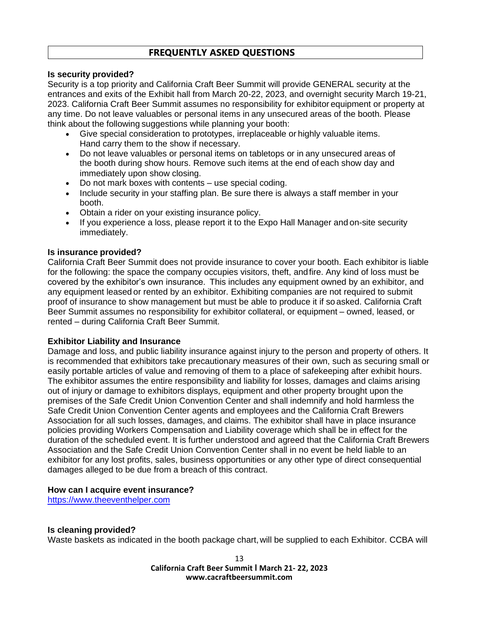# **FREQUENTLY ASKED QUESTIONS**

#### **Is security provided?**

Security is a top priority and California Craft Beer Summit will provide GENERAL security at the entrances and exits of the Exhibit hall from March 20-22, 2023, and overnight security March 19-21, 2023. California Craft Beer Summit assumes no responsibility for exhibitor equipment or property at any time. Do not leave valuables or personal items in any unsecured areas of the booth. Please think about the following suggestions while planning your booth:

- Give special consideration to prototypes, irreplaceable or highly valuable items. Hand carry them to the show if necessary.
- Do not leave valuables or personal items on tabletops or in any unsecured areas of the booth during show hours. Remove such items at the end of each show day and immediately upon show closing.
- Do not mark boxes with contents use special coding.
- Include security in your staffing plan. Be sure there is always a staff member in your booth.
- Obtain a rider on your existing insurance policy.
- If you experience a loss, please report it to the Expo Hall Manager and on-site security immediately.

#### **Is insurance provided?**

California Craft Beer Summit does not provide insurance to cover your booth. Each exhibitor is liable for the following: the space the company occupies visitors, theft, andfire. Any kind of loss must be covered by the exhibitor's own insurance. This includes any equipment owned by an exhibitor, and any equipment leased or rented by an exhibitor. Exhibiting companies are not required to submit proof of insurance to show management but must be able to produce it if so asked. California Craft Beer Summit assumes no responsibility for exhibitor collateral, or equipment – owned, leased, or rented – during California Craft Beer Summit.

#### **Exhibitor Liability and Insurance**

Damage and loss, and public liability insurance against injury to the person and property of others. It is recommended that exhibitors take precautionary measures of their own, such as securing small or easily portable articles of value and removing of them to a place of safekeeping after exhibit hours. The exhibitor assumes the entire responsibility and liability for losses, damages and claims arising out of injury or damage to exhibitors displays, equipment and other property brought upon the premises of the Safe Credit Union Convention Center and shall indemnify and hold harmless the Safe Credit Union Convention Center agents and employees and the California Craft Brewers Association for all such losses, damages, and claims. The exhibitor shall have in place insurance policies providing Workers Compensation and Liability coverage which shall be in effect for the duration of the scheduled event. It is further understood and agreed that the California Craft Brewers Association and the Safe Credit Union Convention Center shall in no event be held liable to an exhibitor for any lost profits, sales, business opportunities or any other type of direct consequential damages alleged to be due from a breach of this contract.

#### **How can I acquire event insurance?**

[https://www.theeventhelper.com](https://www.theeventhelper.com/)

# **Is cleaning provided?**

Waste baskets as indicated in the booth package chart, will be supplied to each Exhibitor. CCBA will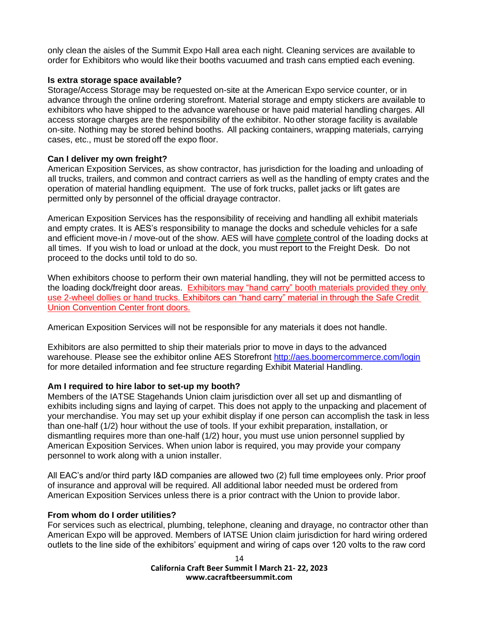only clean the aisles of the Summit Expo Hall area each night. Cleaning services are available to order for Exhibitors who would like their booths vacuumed and trash cans emptied each evening.

#### **Is extra storage space available?**

Storage/Access Storage may be requested on-site at the American Expo service counter, or in advance through the online ordering storefront. Material storage and empty stickers are available to exhibitors who have shipped to the advance warehouse or have paid material handling charges. All access storage charges are the responsibility of the exhibitor. No other storage facility is available on-site. Nothing may be stored behind booths. All packing containers, wrapping materials, carrying cases, etc., must be stored off the expo floor.

# **Can I deliver my own freight?**

American Exposition Services, as show contractor, has jurisdiction for the loading and unloading of all trucks, trailers, and common and contract carriers as well as the handling of empty crates and the operation of material handling equipment. The use of fork trucks, pallet jacks or lift gates are permitted only by personnel of the official drayage contractor.

American Exposition Services has the responsibility of receiving and handling all exhibit materials and empty crates. It is AES's responsibility to manage the docks and schedule vehicles for a safe and efficient move-in / move-out of the show. AES will have complete control of the loading docks at all times. If you wish to load or unload at the dock, you must report to the Freight Desk. Do not proceed to the docks until told to do so.

When exhibitors choose to perform their own material handling, they will not be permitted access to the loading dock/freight door areas. Exhibitors may "hand carry" booth materials provided they only use 2-wheel dollies or hand trucks. Exhibitors can "hand carry" material in through the Safe Credit Union Convention Center front doors.

American Exposition Services will not be responsible for any materials it does not handle.

Exhibitors are also permitted to ship their materials prior to move in days to the advanced warehouse. Please see the exhibitor online AES Storefront<http://aes.boomercommerce.com/login> for more detailed information and fee structure regarding Exhibit Material Handling.

# **Am I required to hire labor to set-up my booth?**

Members of the IATSE Stagehands Union claim jurisdiction over all set up and dismantling of exhibits including signs and laying of carpet. This does not apply to the unpacking and placement of your merchandise. You may set up your exhibit display if one person can accomplish the task in less than one-half (1/2) hour without the use of tools. If your exhibit preparation, installation, or dismantling requires more than one-half (1/2) hour, you must use union personnel supplied by American Exposition Services. When union labor is required, you may provide your company personnel to work along with a union installer.

All EAC's and/or third party I&D companies are allowed two (2) full time employees only. Prior proof of insurance and approval will be required. All additional labor needed must be ordered from American Exposition Services unless there is a prior contract with the Union to provide labor.

#### **From whom do I order utilities?**

For services such as electrical, plumbing, telephone, cleaning and drayage, no contractor other than American Expo will be approved. Members of IATSE Union claim jurisdiction for hard wiring ordered outlets to the line side of the exhibitors' equipment and wiring of caps over 120 volts to the raw cord